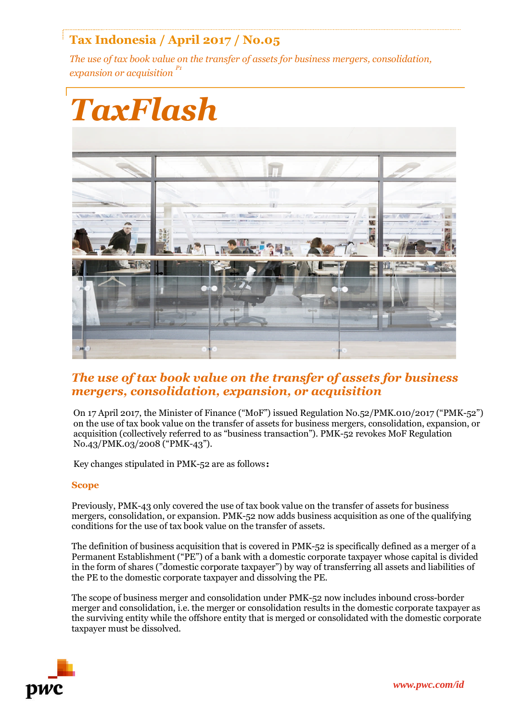# **Tax Indonesia / April 2017 / No.05**

*The use of tax book value on the transfer of assets for business mergers, consolidation, expansion or acquisition P1*



# *The use of tax book value on the transfer of assets for business mergers, consolidation, expansion, or acquisition*

On 17 April 2017, the Minister of Finance ("MoF") issued Regulation No.52/PMK.010/2017 ("PMK-52") on the use of tax book value on the transfer of assets for business mergers, consolidation, expansion, or acquisition (collectively referred to as "business transaction"). PMK-52 revokes MoF Regulation No.43/PMK.03/2008 ("PMK-43").

Key changes stipulated in PMK-52 are as follows**:**

# **Scope**

Previously, PMK-43 only covered the use of tax book value on the transfer of assets for business mergers, consolidation, or expansion. PMK-52 now adds business acquisition as one of the qualifying conditions for the use of tax book value on the transfer of assets.

The definition of business acquisition that is covered in PMK-52 is specifically defined as a merger of a Permanent Establishment ("PE") of a bank with a domestic corporate taxpayer whose capital is divided in the form of shares ("domestic corporate taxpayer") by way of transferring all assets and liabilities of the PE to the domestic corporate taxpayer and dissolving the PE.

The scope of business merger and consolidation under PMK-52 now includes inbound cross-border merger and consolidation, i.e. the merger or consolidation results in the domestic corporate taxpayer as the surviving entity while the offshore entity that is merged or consolidated with the domestic corporate taxpayer must be dissolved.

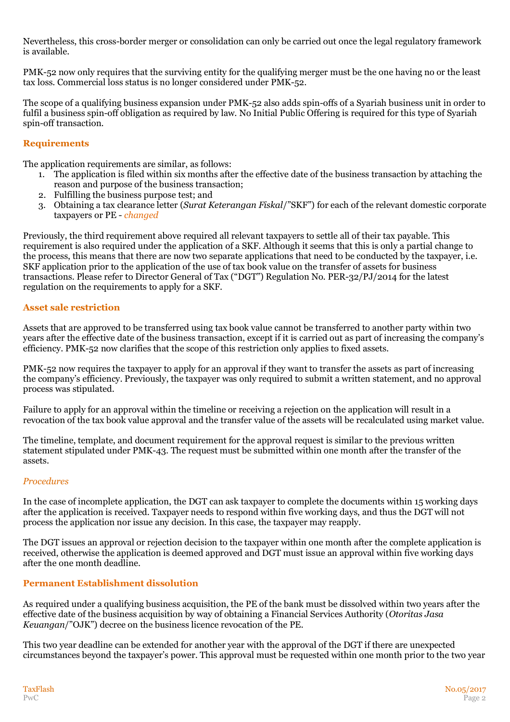Nevertheless, this cross-border merger or consolidation can only be carried out once the legal regulatory framework is available.

PMK-52 now only requires that the surviving entity for the qualifying merger must be the one having no or the least tax loss. Commercial loss status is no longer considered under PMK-52.

The scope of a qualifying business expansion under PMK-52 also adds spin-offs of a Syariah business unit in order to fulfil a business spin-off obligation as required by law. No Initial Public Offering is required for this type of Syariah spin-off transaction.

# **Requirements**

The application requirements are similar, as follows:

- 1. The application is filed within six months after the effective date of the business transaction by attaching the reason and purpose of the business transaction;
- 2. Fulfilling the business purpose test; and
- 3. Obtaining a tax clearance letter (*Surat Keterangan Fiskal*/"SKF") for each of the relevant domestic corporate taxpayers or PE - *changed*

Previously, the third requirement above required all relevant taxpayers to settle all of their tax payable. This requirement is also required under the application of a SKF. Although it seems that this is only a partial change to the process, this means that there are now two separate applications that need to be conducted by the taxpayer, i.e. SKF application prior to the application of the use of tax book value on the transfer of assets for business transactions. Please refer to Director General of Tax ("DGT") Regulation No. PER-32/PJ/2014 for the latest regulation on the requirements to apply for a SKF.

#### **Asset sale restriction**

Assets that are approved to be transferred using tax book value cannot be transferred to another party within two years after the effective date of the business transaction, except if it is carried out as part of increasing the company's efficiency. PMK-52 now clarifies that the scope of this restriction only applies to fixed assets.

PMK-52 now requires the taxpayer to apply for an approval if they want to transfer the assets as part of increasing the company's efficiency. Previously, the taxpayer was only required to submit a written statement, and no approval process was stipulated.

Failure to apply for an approval within the timeline or receiving a rejection on the application will result in a revocation of the tax book value approval and the transfer value of the assets will be recalculated using market value.

The timeline, template, and document requirement for the approval request is similar to the previous written statement stipulated under PMK-43. The request must be submitted within one month after the transfer of the assets.

# *Procedures*

In the case of incomplete application, the DGT can ask taxpayer to complete the documents within 15 working days after the application is received. Taxpayer needs to respond within five working days, and thus the DGT will not process the application nor issue any decision. In this case, the taxpayer may reapply.

The DGT issues an approval or rejection decision to the taxpayer within one month after the complete application is received, otherwise the application is deemed approved and DGT must issue an approval within five working days after the one month deadline.

# **Permanent Establishment dissolution**

As required under a qualifying business acquisition, the PE of the bank must be dissolved within two years after the effective date of the business acquisition by way of obtaining a Financial Services Authority (*Otoritas Jasa Keuangan*/"OJK") decree on the business licence revocation of the PE.

This two year deadline can be extended for another year with the approval of the DGT if there are unexpected circumstances beyond the taxpayer's power. This approval must be requested within one month prior to the two year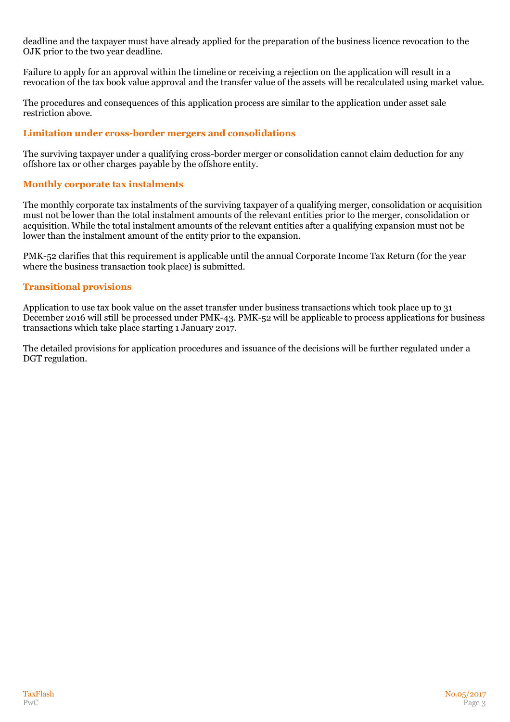deadline and the taxpayer must have already applied for the preparation of the business licence revocation to the OJK prior to the two year deadline.

Failure to apply for an approval within the timeline or receiving a rejection on the application will result in a revocation of the tax book value approval and the transfer value of the assets will be recalculated using market value.

The procedures and consequences of this application process are similar to the application under asset sale restriction above.

#### **Limitation under cross-border mergers and consolidations**

The surviving taxpayer under a qualifying cross-border merger or consolidation cannot claim deduction for any offshore tax or other charges payable by the offshore entity.

#### **Monthly corporate tax instalments**

The monthly corporate tax instalments of the surviving taxpayer of a qualifying merger, consolidation or acquisition must not be lower than the total instalment amounts of the relevant entities prior to the merger, consolidation or acquisition. While the total instalment amounts of the relevant entities after a qualifying expansion must not be lower than the instalment amount of the entity prior to the expansion.

PMK-52 clarifies that this requirement is applicable until the annual Corporate Income Tax Return (for the year where the business transaction took place) is submitted.

#### **Transitional provisions**

Application to use tax book value on the asset transfer under business transactions which took place up to 31 December 2016 will still be processed under PMK-43. PMK-52 will be applicable to process applications for business transactions which take place starting 1 January 2017.

The detailed provisions for application procedures and issuance of the decisions will be further regulated under a DGT regulation.